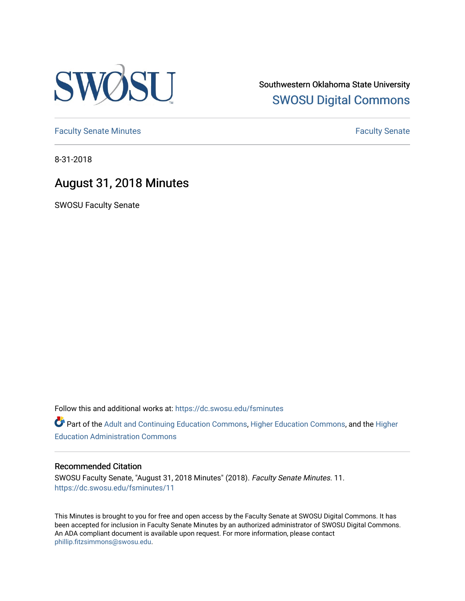

Southwestern Oklahoma State University [SWOSU Digital Commons](https://dc.swosu.edu/) 

[Faculty Senate Minutes](https://dc.swosu.edu/fsminutes) **Faculty** Senate Minutes

8-31-2018

## August 31, 2018 Minutes

SWOSU Faculty Senate

Follow this and additional works at: [https://dc.swosu.edu/fsminutes](https://dc.swosu.edu/fsminutes?utm_source=dc.swosu.edu%2Ffsminutes%2F11&utm_medium=PDF&utm_campaign=PDFCoverPages) 

Part of the [Adult and Continuing Education Commons,](http://network.bepress.com/hgg/discipline/1375?utm_source=dc.swosu.edu%2Ffsminutes%2F11&utm_medium=PDF&utm_campaign=PDFCoverPages) [Higher Education Commons,](http://network.bepress.com/hgg/discipline/1245?utm_source=dc.swosu.edu%2Ffsminutes%2F11&utm_medium=PDF&utm_campaign=PDFCoverPages) and the [Higher](http://network.bepress.com/hgg/discipline/791?utm_source=dc.swosu.edu%2Ffsminutes%2F11&utm_medium=PDF&utm_campaign=PDFCoverPages) [Education Administration Commons](http://network.bepress.com/hgg/discipline/791?utm_source=dc.swosu.edu%2Ffsminutes%2F11&utm_medium=PDF&utm_campaign=PDFCoverPages) 

#### Recommended Citation

SWOSU Faculty Senate, "August 31, 2018 Minutes" (2018). Faculty Senate Minutes. 11. [https://dc.swosu.edu/fsminutes/11](https://dc.swosu.edu/fsminutes/11?utm_source=dc.swosu.edu%2Ffsminutes%2F11&utm_medium=PDF&utm_campaign=PDFCoverPages) 

This Minutes is brought to you for free and open access by the Faculty Senate at SWOSU Digital Commons. It has been accepted for inclusion in Faculty Senate Minutes by an authorized administrator of SWOSU Digital Commons. An ADA compliant document is available upon request. For more information, please contact [phillip.fitzsimmons@swosu.edu](mailto:phillip.fitzsimmons@swosu.edu).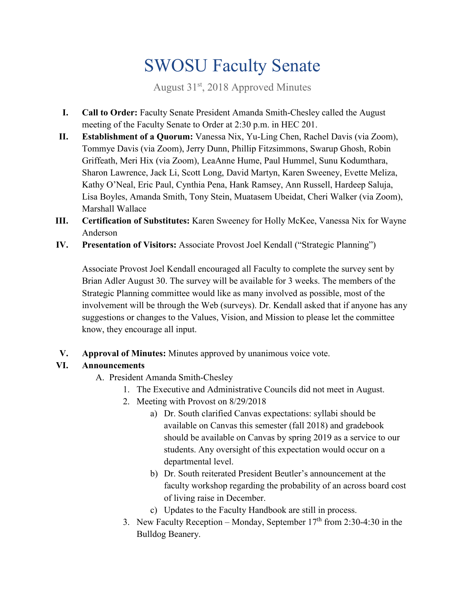# SWOSU Faculty Senate

August 31<sup>st</sup>, 2018 Approved Minutes

- **I. Call to Order:** Faculty Senate President Amanda Smith-Chesley called the August meeting of the Faculty Senate to Order at 2:30 p.m. in HEC 201.
- **II. Establishment of a Quorum:** Vanessa Nix, Yu-Ling Chen, Rachel Davis (via Zoom), Tommye Davis (via Zoom), Jerry Dunn, Phillip Fitzsimmons, Swarup Ghosh, Robin Griffeath, Meri Hix (via Zoom), LeaAnne Hume, Paul Hummel, Sunu Kodumthara, Sharon Lawrence, Jack Li, Scott Long, David Martyn, Karen Sweeney, Evette Meliza, Kathy O'Neal, Eric Paul, Cynthia Pena, Hank Ramsey, Ann Russell, Hardeep Saluja, Lisa Boyles, Amanda Smith, Tony Stein, Muatasem Ubeidat, Cheri Walker (via Zoom), Marshall Wallace
- **III. Certification of Substitutes:** Karen Sweeney for Holly McKee, Vanessa Nix for Wayne Anderson
- **IV. Presentation of Visitors:** Associate Provost Joel Kendall ("Strategic Planning")

Associate Provost Joel Kendall encouraged all Faculty to complete the survey sent by Brian Adler August 30. The survey will be available for 3 weeks. The members of the Strategic Planning committee would like as many involved as possible, most of the involvement will be through the Web (surveys). Dr. Kendall asked that if anyone has any suggestions or changes to the Values, Vision, and Mission to please let the committee know, they encourage all input.

**V. Approval of Minutes:** Minutes approved by unanimous voice vote.

### **VI. Announcements**

- A. President Amanda Smith-Chesley
	- 1. The Executive and Administrative Councils did not meet in August.
	- 2. Meeting with Provost on 8/29/2018
		- a) Dr. South clarified Canvas expectations: syllabi should be available on Canvas this semester (fall 2018) and gradebook should be available on Canvas by spring 2019 as a service to our students. Any oversight of this expectation would occur on a departmental level.
		- b) Dr. South reiterated President Beutler's announcement at the faculty workshop regarding the probability of an across board cost of living raise in December.
		- c) Updates to the Faculty Handbook are still in process.
	- 3. New Faculty Reception Monday, September  $17<sup>th</sup>$  from 2:30-4:30 in the Bulldog Beanery.